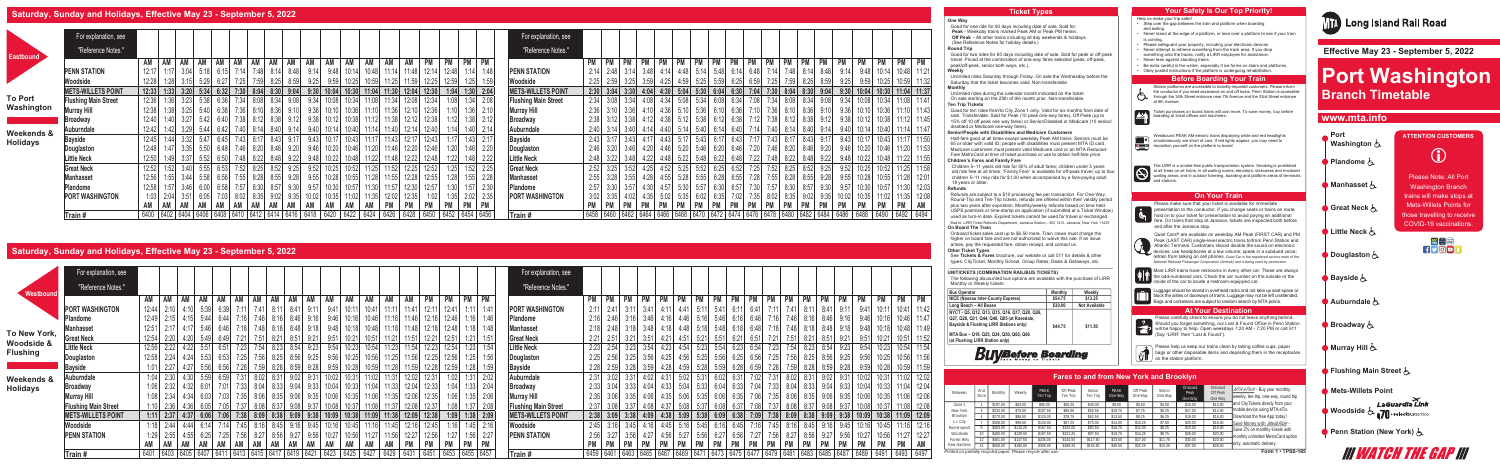### **One Way**

Good for one ride for 60 days including date of sale. Sold for: **Peak** - Weekday trains marked Peak AM or Peak PM herein.  **Off Peak** – All other trains including all day weekends & holidays. (See Reference Notes for holiday details.)

#### **Round Trip**

Good for two rides for 60 days including date of sale. Sold for peak or off-peak travel. Priced at the combination of one way fares selected (peak, off-peak, peak/off-peak, senior both ways, etc.).

## **Weekly**

Unlimited rides Saturday through Friday. On sale the Wednesday before the Saturday that the ticket becomes valid. Non-transferable. **Monthly**

#### Unlimited rides during the calendar month indicated on the ticket. On sale starting on the 25th of the month prior. Non-transferable. **Ten Trip Tickets**

Children 5–11 years old ride for 50% of adult fares; children under 5 years old ride free at all times. "Family Fare" is available for off-peak travel; up to four children 5–11 may ride for \$1.00 when accompanied by a fare-paying adult 18 years or older.

Good for ten rides from/to City Zone 1 only. Valid for six months from date of sale. Transferable. Sold for Peak (10 peak one-way fares), Off Peak (up to 15% off 10 off peak one way fares) or Senior/Disabled or Medicare (10 senior/ disabled or Medicare one-way fares).

#### **Senior/People with Disabilities and Medicare Customers**

Half-fare good at all times except weekday Peak AM trains. Seniors must be 65 or older with valid ID; people with disabilities must present MTA ID card. Medicare customers must present valid Medicare card or an MTA Reduced-Fare MetroCard at time of ticket purchase or use to obtain half-fare price.

#### **Children's Fares and Family Fare**

#### **Refunds**

Refunds are subject to a \$10 processing fee per transaction. For One-Way, Round-Trip and Ten-Trip tickets, refunds are offered within their validity period plus two years after expiration. Monthly/weekly refunds based on time held. USPS postmark or time-stamp on application (if submitted at a Ticket Window) used as turn-in date. Expired tickets cannot be used for travel or exchanged. Mail to: LIRR Ticket Refunds Department, Jamaica Station – MC 1410, Jamaica, New York 11435 **On Board The Train**

Onboard ticket sales cost up to \$6.50 more. Train crews must charge the higher on board fare and are not authorized to waive this rule. If an issue arises, pay the requested fare, obtain receipt, and contact us.

### **Other Ticket Types**

- 
- Step over the gap between the train and platform when boarding and exiting.
- Never stand at the edge of a platform, or lean over a platform to see if your train is coming.
- Please safeguard your property, including your electronic devices.
- Never attempt to retrieve something from the track area. If you drop something onto the tracks, notify a LIRR employee for assistance.
- Never lean against standing trains.
- Be extra careful in the winter, especially if ice forms on stairs and platforms. • Obey posted instructions if the platform is undergoing rehabilitation.

## **Before Boarding Your Train**

See **Tickets & Fares** brochure, our website or call 511 for details & other types: CityTicket, Monthly School, Group Rates, Deals & Getaways, etc.

#### **\_\_\_\_\_\_\_\_\_\_\_\_\_\_\_\_\_\_\_\_\_\_\_\_\_\_\_\_\_\_\_\_\_\_\_\_\_\_\_\_\_\_\_\_\_\_\_\_\_\_\_\_\_\_\_\_\_\_\_\_\_\_\_ UNITICKETS (COMBINATION RAIL/BUS TICKETS)**

Westbound PEAK AM electric trains displaying white and red headlights simultaneously are short of cars. If red lights appear, you may need to reposition yourself on the platform to board

The LIRR is a smoke-free public transportation system. Smoking is prohibited<br>at all times on all trains; in all waiting rooms, elevators, staircases and enclosed<br>waiting areas; and in outdoor ticketing, boarding and platfo

The following discounted bus options are available with the purchase of LIRR Monthly or Weekly tickets:

| <b>Bus Operator</b>                                                                                                                                                                                                | <b>Monthly</b> | Weekly               |
|--------------------------------------------------------------------------------------------------------------------------------------------------------------------------------------------------------------------|----------------|----------------------|
| NICE (Nassau Inter-County Express)                                                                                                                                                                                 | \$54.75        | \$13.25              |
| Long Beach - All Buses                                                                                                                                                                                             | \$30.00        | <b>Not Available</b> |
| NYCT - Q5, Q12, Q13, Q15, Q16, Q17, Q20, Q26,<br>Q27, Q28, Q31, Q44, Q48, Q85 (at Rosedale,<br>Bayside & Flushing LIRR Stations only)<br>MTA Bus - Q19, Q25, Q34, Q50, Q65, Q66<br>(at Flushing LIRR Station only) | \$44.75        | \$11.50              |

Please carefully check to ensure you do not leave anything behind. Should you forget something, our Lost & Found Office in Penn Station will be happy to help. Open weekdays 7:20 AM - 7:20 PM or call 511 (Say "LIRR" then "Lost & Found").

Please help us keep our trains clean by taking coffee cups, paper bags or other disposable items and depositing them in the receptacles on the station platform.



Quiet Cars® are available on weekday AM Peak (FIRST CAR) and PM Peak (LAST CAR) single-level electric trains to/from Penn Station and Atlantic Terminal. Customers should disable the sound on electronic devices; use headphones at a low volume; speak in a subdued voice; refrain from talking on cell phones. *Quiet Car is the registered service mark of the National Railroad Passenger Corporation (Amtrak) and is being used by permission.*



Luggage should be stored in overhead racks and not take up seat space or block the aisles or doorways of trains. Luggage may not be left unattended.  $\begin{bmatrix} 1 & 1 \\ 1 & 1 \end{bmatrix}$  Bags and containers are subject to random search by MTA police.

Station platforms are accessible to mobility-impaired customers. Please inform the conductor if you need assistance on and off trains. Penn Station is accessible through the 34th Street entrance near 7th Avenue and the 33rd Street entrance at 8th Avenue.  $-21 -$ Ticket purchases on board trains will cost more. To save money, buy before boarding at ticket offices and machines.

# Fare Hike April 2019

# **Saturday, Sunday and Holidays, Effective May 23 - September 5, 2022**

|                                                                |             |          |          |                  | <b>Fares to and from New York and Brooklyn</b> |                    |                 |                     |                   |                            |                                |                                                                                          |
|----------------------------------------------------------------|-------------|----------|----------|------------------|------------------------------------------------|--------------------|-----------------|---------------------|-------------------|----------------------------|--------------------------------|------------------------------------------------------------------------------------------|
| Between                                                        | And<br>Zone | Monthly  | Weekly   | PEAK<br>Ten Trip | Off-Peak<br>Ten Trip                           | Senior<br>Ten Trip | PFAK<br>One Way | Off Peak<br>One Way | Senior<br>One Way | Onboard<br>Peak<br>One Way | Onboard<br>Off Peak<br>One Way | $MTA$ $eTix^{\circledcirc}$ - Buy your monthly,<br>weekly, ten-trip, one-way, round trip |
| Zone 1                                                         |             | \$197.00 | \$63.00  | \$90.00          | \$55.25                                        | \$45.00            | \$9.00          | \$6.50              | \$4.50            | \$15.00                    | \$13.00                        | and CityTickets direcly from your                                                        |
| New York                                                       |             | \$234.00 | \$75.00  | \$107.50         | \$66.00                                        | \$52.50            | \$10.75         | \$7.75              | \$5.25            | \$17.00                    | \$14.00                        | mobile device using MTA eTix.                                                            |
| Brooklyn                                                       |             | \$270.00 | \$86.50  | \$125.00         | \$78.75                                        | \$62.50            | \$12.50         | \$9.25              | \$6.25            | \$19.00                    | \$15.00                        | Download the free App today!                                                             |
| L.I. City                                                      |             | \$308.00 | \$98.50  | \$140.00         | \$87.25                                        | \$70.00            | \$14.00         | \$10.25             | \$7.00            | \$20.00                    | \$16.00                        | Save Money with Mail&Ride -                                                              |
| Hunterspoint                                                   |             | \$363.00 | \$116.25 | \$167.50         | \$102.00                                       | \$82.50            | \$16.75         | \$12.00             | \$8.25            | \$23.00                    | \$18.00                        | Save 2% on monthly tickets with                                                          |
| Woodside                                                       |             | \$405.00 | \$129.50 | \$197.50         | \$121.25                                       | \$97.50            | \$19.75         | \$14.25             | \$9.75            | \$26.00                    | \$20.00                        | monthly unlimited MetroCard option                                                       |
| Forest Hills                                                   |             | \$461.00 | \$147.50 | \$235.00         | \$144.50                                       | \$117.50           | \$23.50         | \$17.00             | \$11.75           | \$30.00                    | \$23.00                        | lonly, automatic delivery.                                                               |
| Kew Gardens                                                    |             | \$500.00 | \$160.00 | \$305.00         | \$189.25                                       | \$152.50           | \$30.50         | \$22.25             | \$15.25           | \$37.00                    | \$28.00                        |                                                                                          |
| Printed on partially recycled paper. Please recycle after use. |             |          |          |                  |                                                |                    |                 |                     |                   |                            |                                | Form 1 . TPSS-185                                                                        |





|                 | For explanation, see        |                                                                                                        |      |             |                                                                        |                |      |      |             |       |       |                   |             |       |           |                      |             | For explanation, see        |                |      |               |                              |                                    |      |                                    |      |                                                                                       |      |               |           |           |                          |      |           |                                                                                                    |             |           |
|-----------------|-----------------------------|--------------------------------------------------------------------------------------------------------|------|-------------|------------------------------------------------------------------------|----------------|------|------|-------------|-------|-------|-------------------|-------------|-------|-----------|----------------------|-------------|-----------------------------|----------------|------|---------------|------------------------------|------------------------------------|------|------------------------------------|------|---------------------------------------------------------------------------------------|------|---------------|-----------|-----------|--------------------------|------|-----------|----------------------------------------------------------------------------------------------------|-------------|-----------|
| Eastbound       | "Reference Notes."          |                                                                                                        |      |             |                                                                        |                |      |      |             |       |       |                   |             |       |           |                      |             | "Reference Notes."          |                |      |               |                              |                                    |      |                                    |      |                                                                                       |      |               |           |           |                          |      |           |                                                                                                    |             |           |
|                 |                             | AM<br>AM AM                                                                                            |      | AM AM       | AM AM                                                                  | AM             | AM   | AM   | AM          | AM    | AM    | AM                | AM          | PM    |           |                      | PM PM       |                             |                |      | <b>PM</b>     | $\mathsf{P}$ PM $\mathsf{P}$ | PM PM                              |      |                                    |      | PM   PM   PM   PM                                                                     |      | PM            | <b>PM</b> | <b>PM</b> | <b>PM</b>                | PM   | <b>PM</b> | <b>PM</b>                                                                                          | <b>PM</b>   | <b>PM</b> |
|                 | <b>PENN STATION</b>         | 12:17<br>$1:17$ $3:04$ $5:18$ $6:15$                                                                   |      |             | 7:14                                                                   | 7:48 8:14 8:48 |      | 9:14 | 9:48        | 10:14 | 10:48 | 11:14             | 11:48       | 12:14 | 12:48     |                      | $1:14$ 1:48 | <b>PENN STATION</b>         | 2:14           | 2:48 |               |                              |                                    |      | $3:14$ $3:48$ $4:14$ $4:48$ $5:14$ |      | $5:48$ 6:14 6:48                                                                      |      | $7:14$ $7:48$ |           | 8:14 8:48 |                          | 9:14 | 9:48      | 10:14                                                                                              | 10:48 11:21 |           |
|                 | Woodside                    | 12:28<br>1.28<br>3.15                                                                                  | 5:29 |             | 7.25<br>7:59                                                           | 8:25           | 8.59 | 9:25 | 9:59        | 10:25 |       |                   |             | 12:25 | 12:59     |                      | 1:25        | Woodside                    | 2:25           | 2:59 | 3.25          | 3:59                         |                                    | 4.59 | 5:25                               | 5.59 | 6.25                                                                                  | 6.59 | 7:25          |           |           |                          |      |           |                                                                                                    |             |           |
|                 | <b>METS-WILLETS POINT</b>   | $12:33$ $1:33$ $3:20$ $5:34$ $6:32$ $7:30$ $8:04$ $8:30$ $9:04$ $9:30$ $10:04$ $10:30$ $11:04$ $11:30$ |      |             |                                                                        |                |      |      |             |       |       |                   | 12:04       | 12:30 |           | $1:04$ $1:30$ $2:04$ |             | <b>METS-WILLETS POINT</b>   |                |      |               |                              |                                    |      |                                    |      | $2:30$ $3:04$ $3:30$ $4:04$ $4:30$ $5:04$ $5:30$ 6:04 6:30 7:04 7:30 8:04 8:30 9:04   |      |               |           |           |                          | 9:30 | 10:04     | 10:30                                                                                              | 11:04 11:37 |           |
| <b>To Port</b>  | <b>Flushing Main Street</b> | 12:36 1:36 3:23 5:38 6:36                                                                              |      |             | 7:34 8:08 8:34 9:08 9:34 10:08 10:34                                   |                |      |      |             |       |       | 11:08 11:34 12:08 |             | 12:34 |           | $1:08$ $1:34$ $2:08$ |             | <b>Flushing Main Street</b> |                |      |               |                              |                                    |      |                                    |      | 2:34 3:08 3:34 4:08 4:34 5:08 5:34 6:08 6:34 7:08 7:34 8:08 8:34 9:08 9:34            |      |               |           |           |                          |      | 10:08     | 10:34 11:08 11:41                                                                                  |             |           |
| Washington      | <b>Murray Hill</b>          | $1:38$ 3:25 5:40 6:38 7:36 8:10 8:36 9:10 9:36 10:10 10:36 11:10 11:36 12:10<br>12:38                  |      |             |                                                                        |                |      |      |             |       |       |                   |             | 12:36 |           | $1:10$ $1:36$ 2:10   |             | <b>Murray Hill</b>          |                |      |               |                              |                                    |      |                                    |      |                                                                                       |      |               |           |           |                          |      |           | 2:36 3:10 3:36 4:10 4:36 5:10 5:36 6:10 6:36 7:10 7:36 8:10 8:36 9:10 9:36 10:10 10:36 11:10 11:43 |             |           |
|                 | <b>Broadway</b>             | $1:40$ $3:27$ $5:42$ $6:40$<br>12:40                                                                   |      |             | 7:38 8:12 8:38 9:12 9:38 10:12 10:38                                   |                |      |      |             |       |       | 11:12 11:38 12:12 |             | 12:38 |           | 1:12                 | $1:38$ 2:12 | <b>Broadway</b>             |                |      |               |                              |                                    |      |                                    |      | 2:38 3:12 3:38 4:12 4:38 5:12 5:38 6:12 6:38 7:12 7:38 8:12 8:38 9:12 9:38            |      |               |           |           |                          |      | 10:12     | 10:38 11:12 11:45                                                                                  |             |           |
| Weekends &      | Auburndale                  | 12:42 1:42 3:29 5:44 6:42 7:40 8:14 8:40 9:14 9:40 10:14 10:40 11:14 11:40 12:14                       |      |             |                                                                        |                |      |      |             |       |       |                   |             | 12:40 |           | $1:14$ $1:40$ $2:14$ |             | Auburndale                  |                |      |               |                              |                                    |      |                                    |      | $2:40$ 3:14 3:40 4:14 4:40 5:14 5:40 6:14 6:40 7:14                                   |      |               |           |           | 7:40 8:14 8:40 9:14 9:40 |      | 10:14     | 10:40 11:14 11:47                                                                                  |             |           |
| <b>Holidays</b> | <b>Bayside</b>              | 12:45 1:44 3:32 5:47 6:45 7:43 8:17 8:43 9:17 9:43 10:17 10:43 11:17 11:43 12:17                       |      |             |                                                                        |                |      |      |             |       |       |                   |             | 12:43 |           | $1:17$ $1:43$ $2:17$ |             | <b>Bayside</b>              |                |      |               |                              |                                    |      |                                    |      | 2:43 3:17 3:43 4:17 4:43 5:17 5:43 6:17 6:43 7:17 7:43 8:17 8:43 9:17 9:43 10:17      |      |               |           |           |                          |      |           | 10:43 11:17 11:50                                                                                  |             |           |
|                 | Douglaston                  | 12:48<br>$1:47$ 3:35 5:50 6:48 7:46 8:20 8:46 9:20 9:46 10:20 10:46 11:20 11:46 12:20                  |      |             |                                                                        |                |      |      |             |       |       |                   |             | 12:46 |           | $1:20$ $1:46$ $2:20$ |             | Douglaston                  |                |      |               |                              |                                    |      |                                    |      |                                                                                       |      |               |           |           |                          |      |           | 2:46 3:20 3:46 4:20 4:46 5:20 5:46 6:20 6:46 7:20 7:46 8:20 8:46 9:20 9:46 10:20 10:46 11:20 11:53 |             |           |
|                 | <b>Little Neck</b>          | 12:50<br>$1:49$ 3:37                                                                                   |      |             | 5:52 6:50 7:48 8:22 8:48 9:22 9:48 10:22 10:48 11:22 11:48 12:22 12:48 |                |      |      |             |       |       |                   |             |       |           | $1:22$ $1:48$ $2:22$ |             | <b>Little Neck</b>          |                |      |               |                              |                                    |      |                                    |      |                                                                                       |      |               |           |           |                          |      |           | 2:48 3:22 3:48 4:22 4:48 5:22 5:48 6:22 6:48 7:22 7:48 8:22 8:48 9:22 9:48 10:22 10:48 11:22 11:55 |             |           |
|                 | <b>Great Neck</b>           | 12:52<br>$1:52$ 3:40 $5:55$ 6:53                                                                       |      |             | 7:52 8:25 8:52 9:25 9:52 10:25 10:52 11:25 11:52 12:25                 |                |      |      |             |       |       |                   |             | 12:52 |           | 1:25                 | $1:52$ 2:25 | <b>Great Neck</b>           |                |      |               |                              |                                    |      |                                    |      | 2:52 3:25 3:52 4:25 4:25 5:25 5:25 6:25 6:25 6:52 7:25 7:52 8:25 8:52 9:25 9:25 10:25 |      |               |           |           |                          |      |           | 10:52 11:25 11:58                                                                                  |             |           |
|                 | Manhasset                   | $1:55$ $3:44$<br>12:56                                                                                 |      | $5:58$ 6:56 | 7:55 8:28 8:55 9:28 9:55 10:28                                         |                |      |      |             | 10:55 |       | 11:28 11:55 12:28 |             | 12:55 |           | $1:28$ $1:55$ $2:28$ |             | <b>Manhasset</b>            |                |      |               |                              | $3:28$ $3:55$ $4:28$ $4:55$ $5:28$ |      |                                    |      | $5:55$ 6:28 6:55 7:28 7:55 8:28 8:55 9:28 9:55                                        |      |               |           |           |                          |      | 10:28     | 10:55 11:28 12:01                                                                                  |             |           |
|                 | Plandome                    | 12:58<br>$1:57$ $3:46$ 6:00 6:58                                                                       |      |             | 7:57 8:30 8:57                                                         |                | 9:30 | 9:57 | 10:30       | 10:57 | 11:30 | 11:57             | 12:30       | 12:57 |           | $1:30$ $1:57$ $2:30$ |             | Plandome                    | 2:57           |      | $3:30$ $3:57$ |                              |                                    |      |                                    |      | 4:30 4:57 5:30 5:57 6:30 6:57 7:30                                                    |      | 7:57 8:30     |           |           | $8:57$ $9:30$ $9:57$     |      | 10:30     | 10:57                                                                                              | 11:30 12:03 |           |
|                 | <b>PORT WASHINGTON</b>      | $2:04$ 3:51                                                                                            | 6:05 |             | 7:03 8:02 8:35 9:02 9:35 10:02                                         |                |      |      | 10:35 11:02 |       | 11:35 |                   | 12:02 12:35 | 1:02  |           | $1:35$ 2:02 2:35     |             | <b>PORT WASHINGTON</b>      |                | 3:35 | 4:02          |                              |                                    |      | $4:35$ $5:02$ $5:35$ $6:02$ $6:35$ |      | 7:02 7:35 8:02 8:35 9:02 9:35 10:02                                                   |      |               |           |           |                          |      | 10:35     | 11:02 11:35 12:08                                                                                  |             |           |
|                 |                             | AM   AM  <br>AM                                                                                        | AM   | AM          | AM AM                                                                  | AM             | AM   | AM   | AM          | AM    | AM    | <b>PM</b>         | <b>PM</b>   | PM    | <b>PM</b> |                      | PM PM       |                             | <b>PM</b>      |      | PM            | PM                           | PM PM                              |      |                                    |      | PM   PM   PM   PM                                                                     |      | <b>PM</b>     | PM        | <b>PM</b> | PM PM                    |      | <b>PM</b> | PM                                                                                                 | PM AM       |           |
|                 | $\overline{\text{Train}}$ # | 6400 6402 6404 6406 6408 6410 6412 6414 6416 6418                                                      |      |             |                                                                        |                |      |      | 6420        | 6422  | 6424  | 6426              | 6428        | 6450  | 6452      |                      | 6454 6456   | Train#                      | 6458 6460 6462 |      |               | 6464                         | 6466                               |      |                                    |      | 6468   6470   6472   6474   6476   6478   6480                                        |      |               |           | 6482 6484 |                          | 6486 | 6488      | 6490                                                                                               | 6492 6494   |           |

### Help us make your trip safer! **Ticket Types Your Safety Is Our Top Priority!**

# **Saturday, Sunday and Holidays, Effective May 23 - September 5, 2022**

|                               | For explanation, see        |                                      |                                                                                          |                                                             | For explanation, see                     |                                                                                  |                                                              |                                                      |
|-------------------------------|-----------------------------|--------------------------------------|------------------------------------------------------------------------------------------|-------------------------------------------------------------|------------------------------------------|----------------------------------------------------------------------------------|--------------------------------------------------------------|------------------------------------------------------|
| Westbound                     | "Reference Notes."          |                                      |                                                                                          |                                                             | "Reference Notes."                       |                                                                                  |                                                              |                                                      |
|                               |                             | AM<br>AM<br>AM<br>AM                 | AM<br>AM AM<br>AM  <br>AM<br>AM<br>AM                                                    | <b>PM</b><br>AM<br>AM<br>AM<br>AM<br>PM                     | PM<br>PM                                 | <b>PM</b><br>PM PM<br>PM<br>PM PM                                                | PM<br>PM PM<br>PM   PM  <br><b>PM</b>                        | <b>PM</b><br><b>PM</b><br><b>PM</b><br><b>PM</b>     |
|                               | <b>PORT WASHINGTON</b>      | $5:39$ 6:39<br>12:44<br>$2:10$ 4:10  | 8:41<br>$7:41$ 8:11<br>9:41<br>7.11<br>9:11                                              | 12:11<br>10:41<br>11:11<br>11:41<br>12:41<br>10:11          | <b>PORT WASHINGTON</b><br>1:41           | $2:11$ 2:41<br>$5:11$ 5:41<br>3:11<br>-3:411<br>4:11<br>4:41                     | $6:11$ 6:41<br>7:11<br>8:41<br>7:41                          | 10:41 11:42<br>9:11                                  |
|                               | Plandome                    | 12:49<br>$2:15$ 4:15                 | 5:44 6:44 7:16 7:46 8:16 8:46 9:16<br>9:46                                               | 12:16<br>12:46<br>10:16<br>10:461<br>11∙16∥<br>11:46        | $1:16$ 1:46<br><b>Plandome</b>           | 2:16 2:46 3:16 3:46 4:16 4:46 5:16 5:46 6:16 6:46                                | 7:16<br>7:46<br>8:16<br>8:46                                 | 10:46 11:47<br>9:16<br>9:461                         |
|                               | Manhasset                   | 12:51<br>$5:46$ 6:46<br>$2:17$ 4:17  | 7:48 8:18 8:48 9:18<br>7:18<br>9:48                                                      | 18<br>12:18<br>10:481<br>12:481<br>10:18                    | <b>Manhasset</b>                         | 2:18 2:48 3:18 3:48 4:18 4:48 5:18 5:48 6:18 6:48                                | 7:18<br>7:48 8:18 8:48                                       | 10:48 11:49<br>9.18<br>9.481<br>10.18                |
| To New York,                  | <b>Great Neck</b>           | 12:54<br>2:20<br>5:49                | 8:51<br>9:21                                                                             | 12:21<br>10:51<br>11:51<br>10:21<br>11:21                   | <b>Great Neck</b>                        | $2:21$ 2:51<br>5:21<br>3:21<br>3:51<br>4:51<br>4:21                              | 6:21<br>5:51<br>6:51<br>7:51<br>8:51                         | 11:52<br>10:51                                       |
| Woodside &<br><b>Flushing</b> | <b>Little Neck</b>          | 12:56<br>$2:22$ 4:22<br>6:51<br>5:51 | 7:54 8:23 8:54 9:23 9:54 10:23 10:54 11:23 11:54<br>7:23                                 | 12:23<br>12:54                                              | <b>Little Neck</b>                       | 2:23<br>$2:54$ 3:23 3:54 4:23 4:54 5:23 5:54                                     | $6:23$ $6:54$<br>7:23 7:54 8:23 8:54 9:23 9:54               | 10:23 10:54 11:54                                    |
|                               | Douglaston                  | 12:58 2:24 4:24<br>$5:53$ 6:53       | 7:25 7:56<br>8:25<br>$8:56$ $9:25$                                                       | $9:56$ 10:25<br>10:56 11:25 11:56<br>12:25<br> 25 <br>12:56 | Douglaston                               | 2:25 2:56 3:25 3:56 4:25 4:56 5:25 5:56 6:25 6:56                                | 7:25 7:56 8:25 8:56                                          | 9:25<br>9:56<br>10:25<br>10:56 11:56                 |
|                               | <b>Bayside</b>              | $1:01$ 2:27<br>$5:56$ 6:56<br>4:27   | 7:59 8:28<br>$8:59$ $9:28$<br>7:28                                                       | $9:59$ 10:28<br>10:59 11:28 11:59<br>12:28<br>12:59<br>:28  | 2:28<br><b>Bayside</b>                   | $2:59$ 3:28<br>3:59<br>4:28 4:59                                                 | $5:28$ $5:59$ $6:28$ $6:59$<br>7:28<br>7:59 8:28<br>8:59     | 9:28<br>10:28<br>10:59 11:59<br>9:59                 |
| Weekends &                    | Auburndale                  | $1:04$ 2:30 4:30                     | $5:59$ 6:59 7:31 8:02 8:31 9:02 9:31 10:02 10:31                                         | 11:02 11:31 12:02 12:31<br>1:02                             | Auburndale<br>2:02                       | 2.31 3.02 3.31 4.02 4.31 5.02 5.31 6.02 6.31 7.02 7.31 8.02 8.31 9.02 9.31 10.02 |                                                              | 11:02 12:02<br>10:31                                 |
| <b>Holidays</b>               | <b>Broadway</b>             | $1:06$ 2:32 4:32<br>$6:01$ 7:01      | 7:33 8:04 8:33 9:04 9:33 10:04 10:33                                                     | 11:04 11:33 12:04<br>12:33<br>1:04                          | $1:33$ 2:04<br>Broadway<br>2:33          | $3:04$ $3:33$ $4:04$ $4:33$ $5:04$ $5:33$ $6:04$                                 | 6:33 7:04 7:33 8:04                                          | $8:33$ $9:04$ $9:33$ $10:04$<br>10:33<br>11:04 12:04 |
|                               | <b>Murray Hill</b>          | $2:34$ 4:34<br>$6:03$ 7:03           | $9:06$ $9:35$<br>10:06<br>7:35 8:06 8:35                                                 | 1:35<br>10:35<br>11:06<br>11:35<br>12:35<br>12:06<br>1:06   | <b>Murray Hill</b><br>2:35               | 5:35<br>$3:06$ $3:35$<br>4:06 4:35<br>5:06                                       | 6:35<br>6:06<br>$7:35$ 8:06<br>7:06<br>9:06<br>8:35          | 9:35<br>10:35<br>11:06 12:06<br>10:06                |
|                               | <b>Flushing Main Street</b> |                                      |                                                                                          |                                                             | <b>Flushing Main Street</b>              |                                                                                  |                                                              |                                                      |
|                               | <b>METS-WILLETS POINT</b>   | $1:11$ 2:37                          | 9:09<br>9:38<br>8:09<br>10:09<br>7:38<br>8:38                                            | 10:38<br>1:09<br>11:38<br>12:09<br>12:38<br>11:09           | $1:38$ 2:09<br><b>METS-WILLETS POINT</b> | $2:38$ 3:09<br>3:38<br>4:09<br>4:38<br>5:38                                      | 8:09<br>9:09<br>6:38<br>8:38<br>6:09                         | 11:09 12:09<br>9:38                                  |
|                               | Woodside                    | $1:18$ 2:44<br>6∙14<br>7:14<br>4:44  | 8:16<br>9:16<br>7:45<br>10:16<br>8.45<br>9.45                                            | .45<br>:16<br>10:45<br>11:16<br>11:45<br>12:16<br>12.45     | Woodside                                 | $3:16$ $3:45$<br>5:16<br>5:45<br>4:16<br>4:45                                    | 6:45<br>7:45<br>8:16<br>์ 6·16∣<br>7.16<br>8:45<br>9:16      | 12:16<br>9:451                                       |
|                               | <b>PENN STATION</b>         | 6:25<br>2:55<br>4:55<br>7:25         | .56<br>9:27<br>9:56<br>8:27<br>8:56<br>10:27                                             | 1:56<br>12:56<br>11:56<br>10:56<br>12:27                    | <b>PENN STATION</b><br>2:56              | 5:56<br>3:56<br>4:56                                                             | 6:56<br>7:56<br>7:27<br>8:56<br>9:27<br>6:27                 | 10:56<br>11:27 12:27<br>9:56                         |
|                               |                             | AM I<br>AM<br>AM<br>∣ AM<br>AM       | <b>AM</b><br>AM<br>AM<br>AM<br>AM<br>AM                                                  | PM<br><b>PM</b><br>AM<br><b>PM</b><br>AM<br>AM              | PM<br>PM                                 | PM PM<br><b>PM</b><br><b>PM</b><br><b>PM</b><br>PM                               | PM<br>PM<br>PM<br><b>PM</b><br><b>PM</b><br>PM               | PM<br>PM AM<br>PM<br>PM                              |
|                               | Train#                      |                                      | 6401   6403   6405   6407   6411   6413   6415   6417   6419   6421   6423   6425   6427 | 6429<br>6453<br>6431<br>6451                                | 6455 6457<br>Train#                      | 6459   6461   6463   6465   6467   6469   6471                                   | 6473   6475   6477   6479   6481   6483   6485   6487   6489 | 6491<br>6493 6497                                    |

 **Effective May 23 - September 5, 2022**

# **Port Washington Branch Timetable**

# **www.mta.info**

້ Washington *ເ*ົົ

**Port** 



## **At Your Destination**



## **On Your Train**

## **ATTENTION CUSTOMERS**



Please Note: All Port Washington Branch trains will make stops at Mets-Willets Points for those travelling to receive COVID-19 vaccinations.